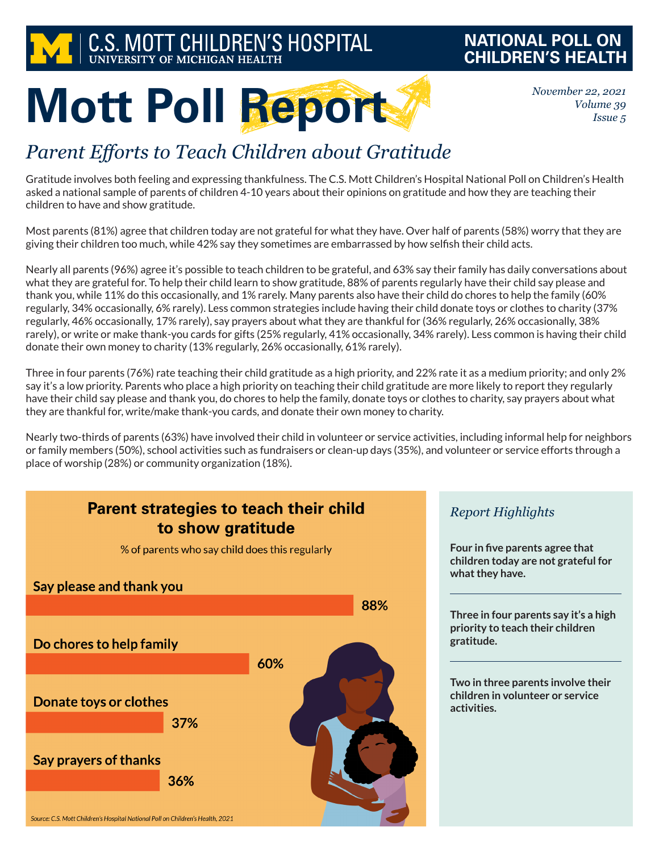

### **NATIONAL POLL ON CHILDREN'S HEALTH**

*November 22, 2021 Volume 39 Issue 5*

# **Mott Poll Report**

## *Parent Efforts to Teach Children about Gratitude*

Gratitude involves both feeling and expressing thankfulness. The C.S. Mott Children's Hospital National Poll on Children's Health asked a national sample of parents of children 4-10 years about their opinions on gratitude and how they are teaching their children to have and show gratitude.

Most parents (81%) agree that children today are not grateful for what they have. Over half of parents (58%) worry that they are giving their children too much, while 42% say they sometimes are embarrassed by how selfish their child acts.

Nearly all parents (96%) agree it's possible to teach children to be grateful, and 63% say their family has daily conversations about what they are grateful for. To help their child learn to show gratitude, 88% of parents regularly have their child say please and thank you, while 11% do this occasionally, and 1% rarely. Many parents also have their child do chores to help the family (60% regularly, 34% occasionally, 6% rarely). Less common strategies include having their child donate toys or clothes to charity (37% regularly, 46% occasionally, 17% rarely), say prayers about what they are thankful for (36% regularly, 26% occasionally, 38% rarely), or write or make thank-you cards for gifts (25% regularly, 41% occasionally, 34% rarely). Less common is having their child donate their own money to charity (13% regularly, 26% occasionally, 61% rarely).

Three in four parents (76%) rate teaching their child gratitude as a high priority, and 22% rate it as a medium priority; and only 2% say it's a low priority. Parents who place a high priority on teaching their child gratitude are more likely to report they regularly have their child say please and thank you, do chores to help the family, donate toys or clothes to charity, say prayers about what they are thankful for, write/make thank-you cards, and donate their own money to charity.

Nearly two-thirds of parents (63%) have involved their child in volunteer or service activities, including informal help for neighbors or family members (50%), school activities such as fundraisers or clean-up days (35%), and volunteer or service efforts through a place of worship (28%) or community organization (18%).